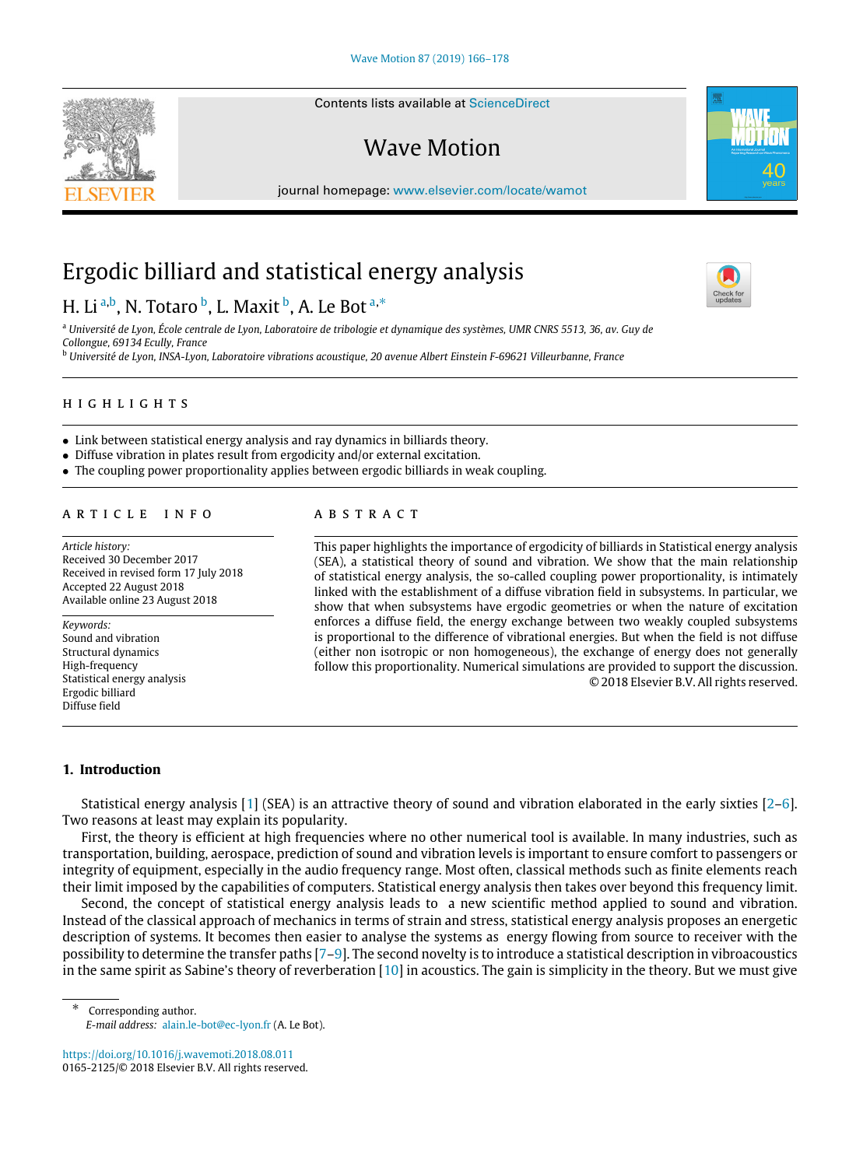Contents lists available at [ScienceDirect](http://www.elsevier.com/locate/wamot)

## Wave Motion

journal homepage: [www.elsevier.com/locate/wamot](http://www.elsevier.com/locate/wamot)

# Ergodic billiard and statistical energy analysis

## H. Li <sup>[a](#page-0-0),[b](#page-0-1)</sup>, N. Totaro <sup>b</sup>, L. Maxit <sup>b</sup>, A. Le Bot <sup>a,\*</sup>

<span id="page-0-0"></span><sup>a</sup> *Université de Lyon, École centrale de Lyon, Laboratoire de tribologie et dynamique des systèmes, UMR CNRS 5513, 36, av. Guy de Collongue, 69134 Ecully, France*

<span id="page-0-1"></span><sup>b</sup> *Université de Lyon, INSA-Lyon, Laboratoire vibrations acoustique, 20 avenue Albert Einstein F-69621 Villeurbanne, France*

### h i g h l i g h t s

- Link between statistical energy analysis and ray dynamics in billiards theory.
- Diffuse vibration in plates result from ergodicity and/or external excitation.
- The coupling power proportionality applies between ergodic billiards in weak coupling.

## ARTICLE INFO

*Article history:* Received 30 December 2017 Received in revised form 17 July 2018 Accepted 22 August 2018 Available online 23 August 2018

*Keywords:* Sound and vibration Structural dynamics High-frequency Statistical energy analysis Ergodic billiard Diffuse field

## a b s t r a c t

This paper highlights the importance of ergodicity of billiards in Statistical energy analysis (SEA), a statistical theory of sound and vibration. We show that the main relationship of statistical energy analysis, the so-called coupling power proportionality, is intimately linked with the establishment of a diffuse vibration field in subsystems. In particular, we show that when subsystems have ergodic geometries or when the nature of excitation enforces a diffuse field, the energy exchange between two weakly coupled subsystems is proportional to the difference of vibrational energies. But when the field is not diffuse (either non isotropic or non homogeneous), the exchange of energy does not generally follow this proportionality. Numerical simulations are provided to support the discussion. © 2018 Elsevier B.V. All rights reserved.

#### **1. Introduction**

Statistical energy analysis  $\left[1\right]$  $\left[1\right]$  $\left[1\right]$  (SEA) is an attractive theory of sound and vibration elaborated in the early sixties  $\left[2-6\right]$  $\left[2-6\right]$  $\left[2-6\right]$ . Two reasons at least may explain its popularity.

First, the theory is efficient at high frequencies where no other numerical tool is available. In many industries, such as transportation, building, aerospace, prediction of sound and vibration levels is important to ensure comfort to passengers or integrity of equipment, especially in the audio frequency range. Most often, classical methods such as finite elements reach their limit imposed by the capabilities of computers. Statistical energy analysis then takes over beyond this frequency limit.

Second, the concept of statistical energy analysis leads to a new scientific method applied to sound and vibration. Instead of the classical approach of mechanics in terms of strain and stress, statistical energy analysis proposes an energetic description of systems. It becomes then easier to analyse the systems as energy flowing from source to receiver with the possibility to determine the transfer paths [\[7](#page-12-3)–[9\]](#page-12-4). The second novelty is to introduce a statistical description in vibroacoustics in the same spirit as Sabine's theory of reverberation [\[10\]](#page-12-5) in acoustics. The gain is simplicity in the theory. But we must give

<span id="page-0-2"></span>Corresponding author. *E-mail address:* [alain.le-bot@ec-lyon.fr](mailto:alain.le-bot@ec-lyon.fr) (A. Le Bot).

<https://doi.org/10.1016/j.wavemoti.2018.08.011> 0165-2125/© 2018 Elsevier B.V. All rights reserved.





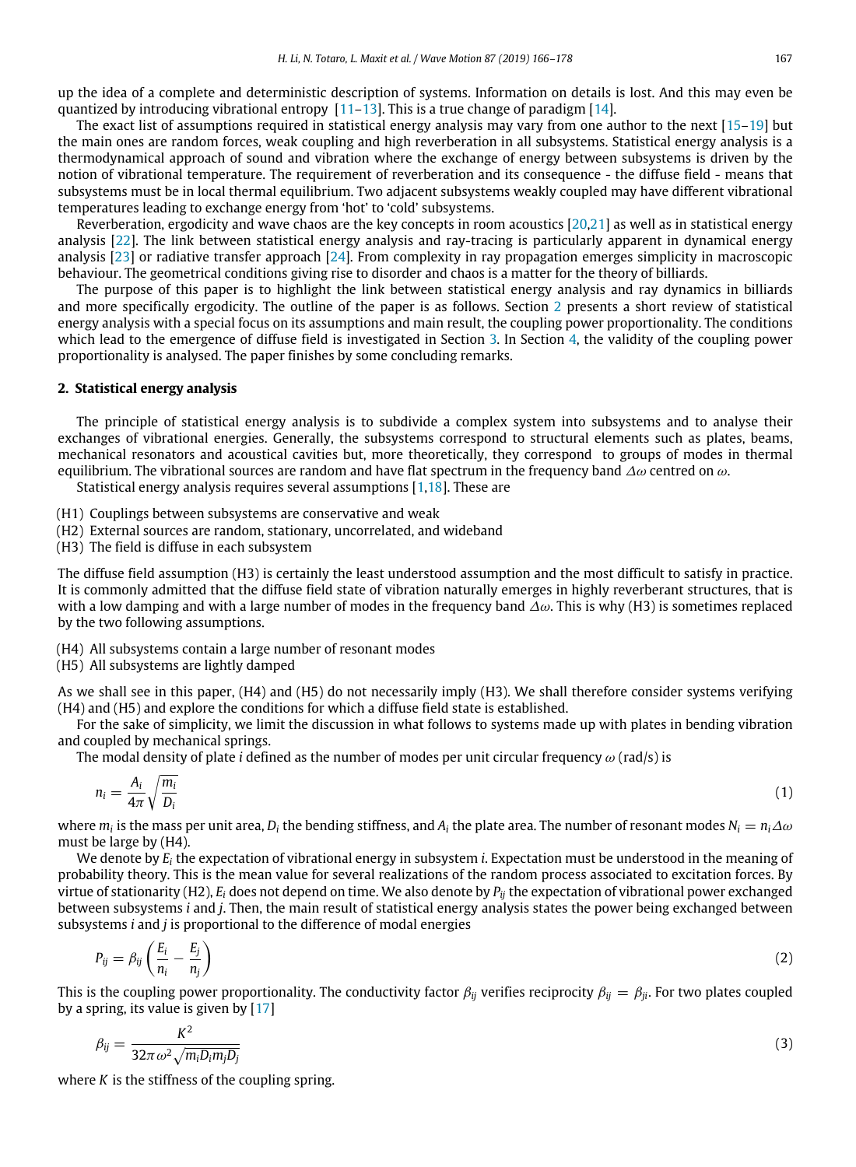up the idea of a complete and deterministic description of systems. Information on details is lost. And this may even be quantized by introducing vibrational entropy [[11–](#page-12-6)[13\]](#page-12-7). This is a true change of paradigm [[14](#page-12-8)].

The exact list of assumptions required in statistical energy analysis may vary from one author to the next [[15–](#page-12-9)[19\]](#page-12-10) but the main ones are random forces, weak coupling and high reverberation in all subsystems. Statistical energy analysis is a thermodynamical approach of sound and vibration where the exchange of energy between subsystems is driven by the notion of vibrational temperature. The requirement of reverberation and its consequence - the diffuse field - means that subsystems must be in local thermal equilibrium. Two adjacent subsystems weakly coupled may have different vibrational temperatures leading to exchange energy from 'hot' to 'cold' subsystems.

Reverberation, ergodicity and wave chaos are the key concepts in room acoustics [[20,](#page-12-11)[21](#page-12-12)] as well as in statistical energy analysis [[22](#page-12-13)]. The link between statistical energy analysis and ray-tracing is particularly apparent in dynamical energy analysis [\[23\]](#page-12-14) or radiative transfer approach [\[24\]](#page-12-15). From complexity in ray propagation emerges simplicity in macroscopic behaviour. The geometrical conditions giving rise to disorder and chaos is a matter for the theory of billiards.

The purpose of this paper is to highlight the link between statistical energy analysis and ray dynamics in billiards and more specifically ergodicity. The outline of the paper is as follows. Section [2](#page-1-0) presents a short review of statistical energy analysis with a special focus on its assumptions and main result, the coupling power proportionality. The conditions which lead to the emergence of diffuse field is investigated in Section [3](#page-2-0). In Section [4,](#page-6-0) the validity of the coupling power proportionality is analysed. The paper finishes by some concluding remarks.

## **2. Statistical energy analysis**

<span id="page-1-0"></span>The principle of statistical energy analysis is to subdivide a complex system into subsystems and to analyse their exchanges of vibrational energies. Generally, the subsystems correspond to structural elements such as plates, beams, mechanical resonators and acoustical cavities but, more theoretically, they correspond to groups of modes in thermal equilibrium. The vibrational sources are random and have flat spectrum in the frequency band  $\Delta\omega$  centred on  $\omega$ .

Statistical energy analysis requires several assumptions [\[1,](#page-12-0)[18\]](#page-12-16). These are

- (H1) Couplings between subsystems are conservative and weak
- (H2) External sources are random, stationary, uncorrelated, and wideband
- (H3) The field is diffuse in each subsystem

The diffuse field assumption (H3) is certainly the least understood assumption and the most difficult to satisfy in practice. It is commonly admitted that the diffuse field state of vibration naturally emerges in highly reverberant structures, that is with a low damping and with a large number of modes in the frequency band  $\Delta\omega$ . This is why (H3) is sometimes replaced by the two following assumptions.

- (H4) All subsystems contain a large number of resonant modes
- (H5) All subsystems are lightly damped

As we shall see in this paper, (H4) and (H5) do not necessarily imply (H3). We shall therefore consider systems verifying (H4) and (H5) and explore the conditions for which a diffuse field state is established.

For the sake of simplicity, we limit the discussion in what follows to systems made up with plates in bending vibration and coupled by mechanical springs.

The modal density of plate *i* defined as the number of modes per unit circular frequency  $\omega$  (rad/s) is

<span id="page-1-2"></span>
$$
n_i = \frac{A_i}{4\pi} \sqrt{\frac{m_i}{D_i}}\tag{1}
$$

where  $m_i$  is the mass per unit area,  $D_i$  the bending stiffness, and  $A_i$  the plate area. The number of resonant modes  $N_i=n_i\Delta\omega$ must be large by (H4).

We denote by *E<sup>i</sup>* the expectation of vibrational energy in subsystem *i*. Expectation must be understood in the meaning of probability theory. This is the mean value for several realizations of the random process associated to excitation forces. By virtue of stationarity (H2), *E<sup>i</sup>* does not depend on time. We also denote by *Pij* the expectation of vibrational power exchanged between subsystems *i* and *j*. Then, the main result of statistical energy analysis states the power being exchanged between subsystems *i* and *j* is proportional to the difference of modal energies

<span id="page-1-1"></span>
$$
P_{ij} = \beta_{ij} \left( \frac{E_i}{n_i} - \frac{E_j}{n_j} \right) \tag{2}
$$

This is the coupling power proportionality. The conductivity factor  $\beta_{ij}$  verifies reciprocity  $\beta_{ij} = \beta_{ji}$ . For two plates coupled by a spring, its value is given by  $[17]$ 

<span id="page-1-3"></span>
$$
\beta_{ij} = \frac{K^2}{32\pi \omega^2 \sqrt{m_i D_i m_j D_j}}\tag{3}
$$

where *K* is the stiffness of the coupling spring.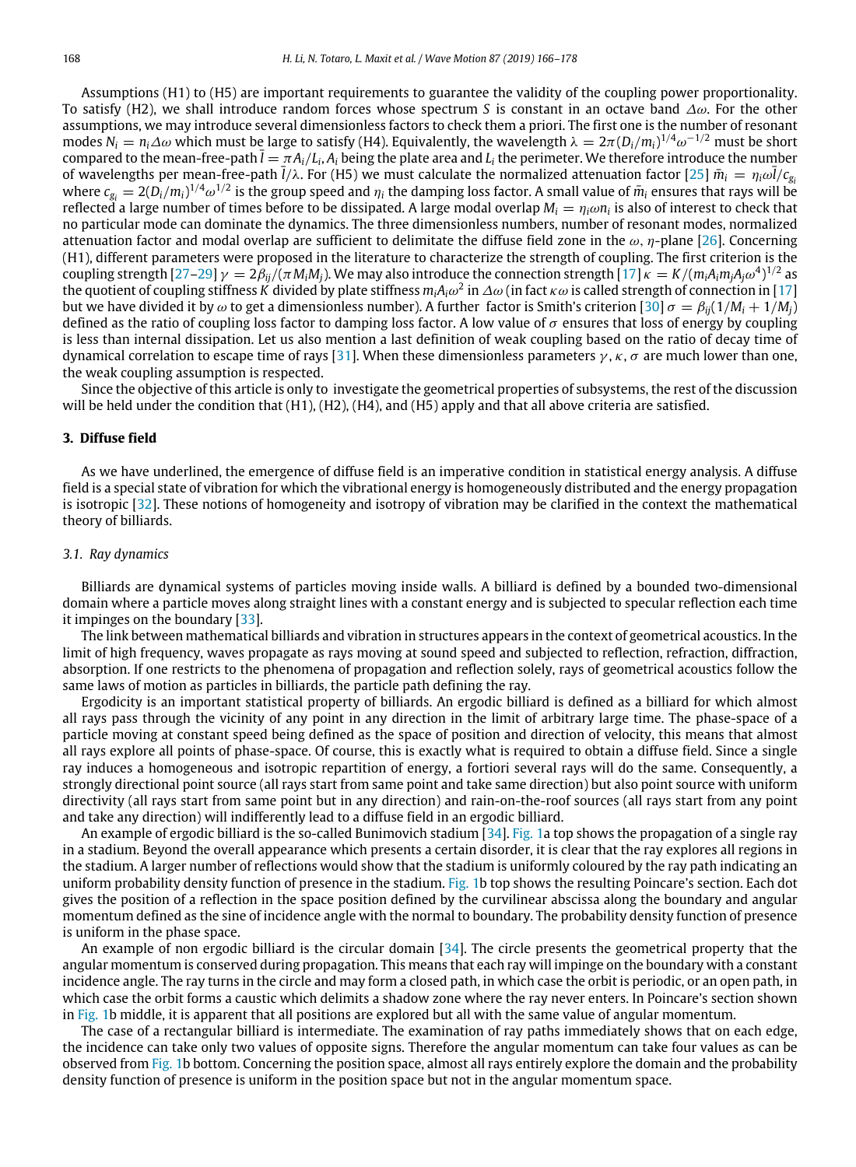Assumptions (H1) to (H5) are important requirements to guarantee the validity of the coupling power proportionality. To satisfy (H2), we shall introduce random forces whose spectrum *S* is constant in an octave band ∆ω. For the other assumptions, we may introduce several dimensionless factors to check them a priori. The first one is the number of resonant modes  $N_i=n_i\Delta\omega$  which must be large to satisfy (H4). Equivalently, the wavelength  $\lambda=2\pi (D_i/m_i)^{1/4}\omega^{-1/2}$  must be short compared to the mean-free-path  $\bar{l}=\pi A_i/L_i$ ,  $A_i$  being the plate area and  $L_i$  the perimeter. We therefore introduce the number of wavelengths per mean-free-path  $\bar{l}/λ$ . For (H5) we must calculate the normalized attenuation factor [[25](#page-12-18)]  $\bar{m}_i = \eta_i ω \bar{l}/c_{\rm g}$ *i* where  $c_{g_i}=2(D_i/m_i)^{1/4}\omega^{1/2}$  is the group speed and  $\eta_i$  the damping loss factor. A small value of  $\bar{m}_i$  ensures that rays will be reflected a large number of times before to be dissipated. A large modal overlap  $M_i=\eta_i\omega n_i$  is also of interest to check that no particular mode can dominate the dynamics. The three dimensionless numbers, number of resonant modes, normalized attenuation factor and modal overlap are sufficient to delimitate the diffuse field zone in the  $\omega$ ,  $\eta$ -plane [[26](#page-12-19)]. Concerning (H1), different parameters were proposed in the literature to characterize the strength of coupling. The first criterion is the  $\alpha$  coupling strength [\[27–](#page-12-20)[29](#page-12-21)]  $\gamma=2\beta_{ij}/(\pi M_iM_j)$ . We may also introduce the connection strength [\[17](#page-12-17)]  $\kappa=K/(m_iA_im_jA_j\omega^4)^{1/2}$  as the quotient of coupling stiffness  $K$  divided by plate stiffness  $m_i$ A $_i\omega^2$  in  $\varDelta\omega$  (in fact  $\kappa\,\omega$  is called strength of connection in [[17](#page-12-17)] but we have divided it by  $\omega$  to get a dimensionless number). A further factor is Smith's criterion [\[30\]](#page-12-22)  $\sigma = \beta_{ii}(1/M_i + 1/M_i)$ defined as the ratio of coupling loss factor to damping loss factor. A low value of  $\sigma$  ensures that loss of energy by coupling is less than internal dissipation. Let us also mention a last definition of weak coupling based on the ratio of decay time of dynamical correlation to escape time of rays [\[31\]](#page-12-23). When these dimensionless parameters  $\gamma$ ,  $\kappa$ ,  $\sigma$  are much lower than one, the weak coupling assumption is respected.

Since the objective of this article is only to investigate the geometrical properties of subsystems, the rest of the discussion will be held under the condition that (H1), (H2), (H4), and (H5) apply and that all above criteria are satisfied.

#### **3. Diffuse field**

<span id="page-2-0"></span>As we have underlined, the emergence of diffuse field is an imperative condition in statistical energy analysis. A diffuse field is a special state of vibration for which the vibrational energy is homogeneously distributed and the energy propagation is isotropic [\[32\]](#page-12-24). These notions of homogeneity and isotropy of vibration may be clarified in the context the mathematical theory of billiards.

## *3.1. Ray dynamics*

Billiards are dynamical systems of particles moving inside walls. A billiard is defined by a bounded two-dimensional domain where a particle moves along straight lines with a constant energy and is subjected to specular reflection each time it impinges on the boundary [[33](#page-12-25)].

The link between mathematical billiards and vibration in structures appears in the context of geometrical acoustics. In the limit of high frequency, waves propagate as rays moving at sound speed and subjected to reflection, refraction, diffraction, absorption. If one restricts to the phenomena of propagation and reflection solely, rays of geometrical acoustics follow the same laws of motion as particles in billiards, the particle path defining the ray.

Ergodicity is an important statistical property of billiards. An ergodic billiard is defined as a billiard for which almost all rays pass through the vicinity of any point in any direction in the limit of arbitrary large time. The phase-space of a particle moving at constant speed being defined as the space of position and direction of velocity, this means that almost all rays explore all points of phase-space. Of course, this is exactly what is required to obtain a diffuse field. Since a single ray induces a homogeneous and isotropic repartition of energy, a fortiori several rays will do the same. Consequently, a strongly directional point source (all rays start from same point and take same direction) but also point source with uniform directivity (all rays start from same point but in any direction) and rain-on-the-roof sources (all rays start from any point and take any direction) will indifferently lead to a diffuse field in an ergodic billiard.

An example of ergodic billiard is the so-called Bunimovich stadium [[34](#page-12-26)]. [Fig.](#page-3-0) [1a](#page-3-0) top shows the propagation of a single ray in a stadium. Beyond the overall appearance which presents a certain disorder, it is clear that the ray explores all regions in the stadium. A larger number of reflections would show that the stadium is uniformly coloured by the ray path indicating an uniform probability density function of presence in the stadium. [Fig.](#page-3-0) [1](#page-3-0)b top shows the resulting Poincare's section. Each dot gives the position of a reflection in the space position defined by the curvilinear abscissa along the boundary and angular momentum defined as the sine of incidence angle with the normal to boundary. The probability density function of presence is uniform in the phase space.

An example of non ergodic billiard is the circular domain [[34](#page-12-26)]. The circle presents the geometrical property that the angular momentum is conserved during propagation. This means that each ray will impinge on the boundary with a constant incidence angle. The ray turns in the circle and may form a closed path, in which case the orbit is periodic, or an open path, in which case the orbit forms a caustic which delimits a shadow zone where the ray never enters. In Poincare's section shown in [Fig.](#page-3-0) [1](#page-3-0)b middle, it is apparent that all positions are explored but all with the same value of angular momentum.

The case of a rectangular billiard is intermediate. The examination of ray paths immediately shows that on each edge, the incidence can take only two values of opposite signs. Therefore the angular momentum can take four values as can be observed from [Fig.](#page-3-0) [1](#page-3-0)b bottom. Concerning the position space, almost all rays entirely explore the domain and the probability density function of presence is uniform in the position space but not in the angular momentum space.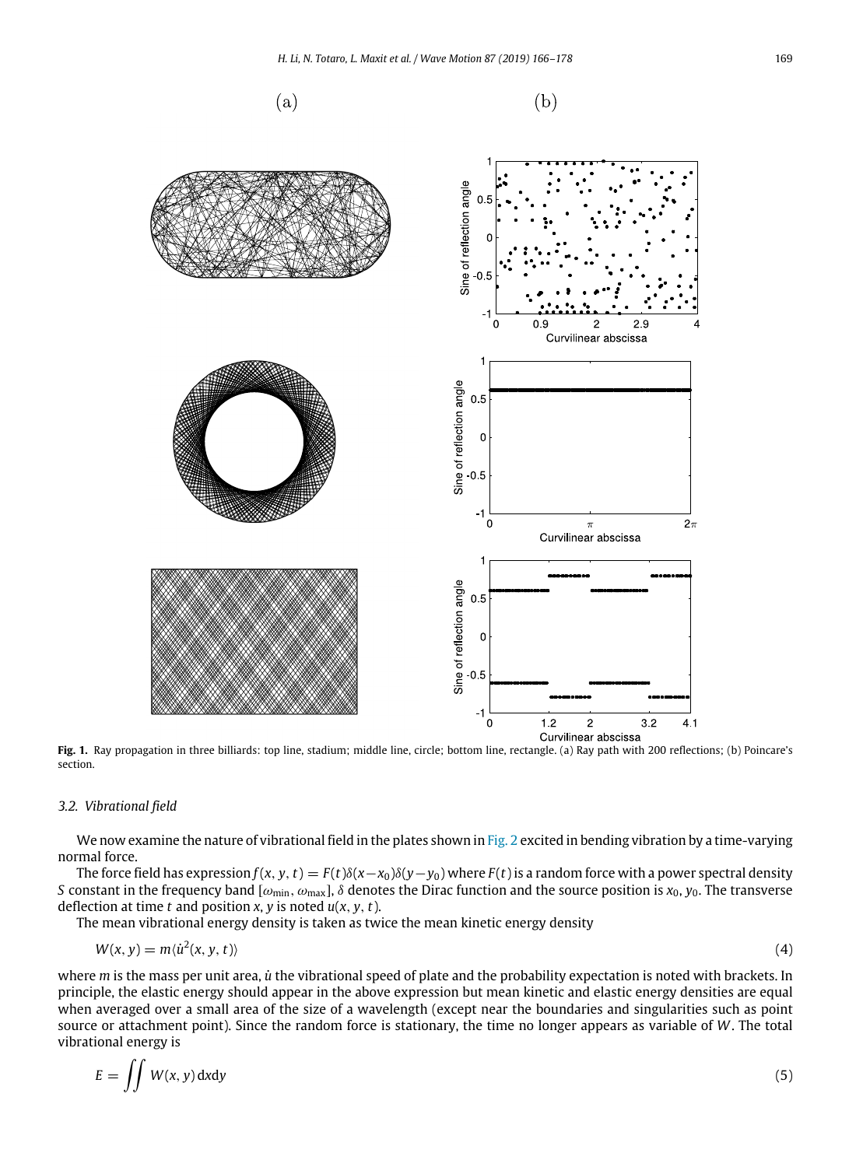

<span id="page-3-0"></span>**Fig. 1.** Ray propagation in three billiards: top line, stadium; middle line, circle; bottom line, rectangle. (a) Ray path with 200 reflections; (b) Poincare's section.

## *3.2. Vibrational field*

We now examine the nature of vibrational field in the plates shown in [Fig.](#page-4-0) [2](#page-4-0) excited in bending vibration by a time-varying normal force.

The force field has expression  $f(x, y, t) = F(t)\delta(x-x_0)\delta(y-y_0)$  where  $F(t)$  is a random force with a power spectral density *S* constant in the frequency band  $[\omega_{\min}, \omega_{\max}]$ ,  $\delta$  denotes the Dirac function and the source position is  $x_0$ ,  $y_0$ . The transverse deflection at time *t* and position *x*, *y* is noted *u*(*x*, *y*, *t*).

The mean vibrational energy density is taken as twice the mean kinetic energy density

$$
W(x, y) = m\langle \dot{u}^2(x, y, t) \rangle \tag{4}
$$

where *m* is the mass per unit area, *u*<sup>i</sup> the vibrational speed of plate and the probability expectation is noted with brackets. In principle, the elastic energy should appear in the above expression but mean kinetic and elastic energy densities are equal when averaged over a small area of the size of a wavelength (except near the boundaries and singularities such as point source or attachment point). Since the random force is stationary, the time no longer appears as variable of *W*. The total vibrational energy is

$$
E = \iint W(x, y) \, \mathrm{d}x \, \mathrm{d}y \tag{5}
$$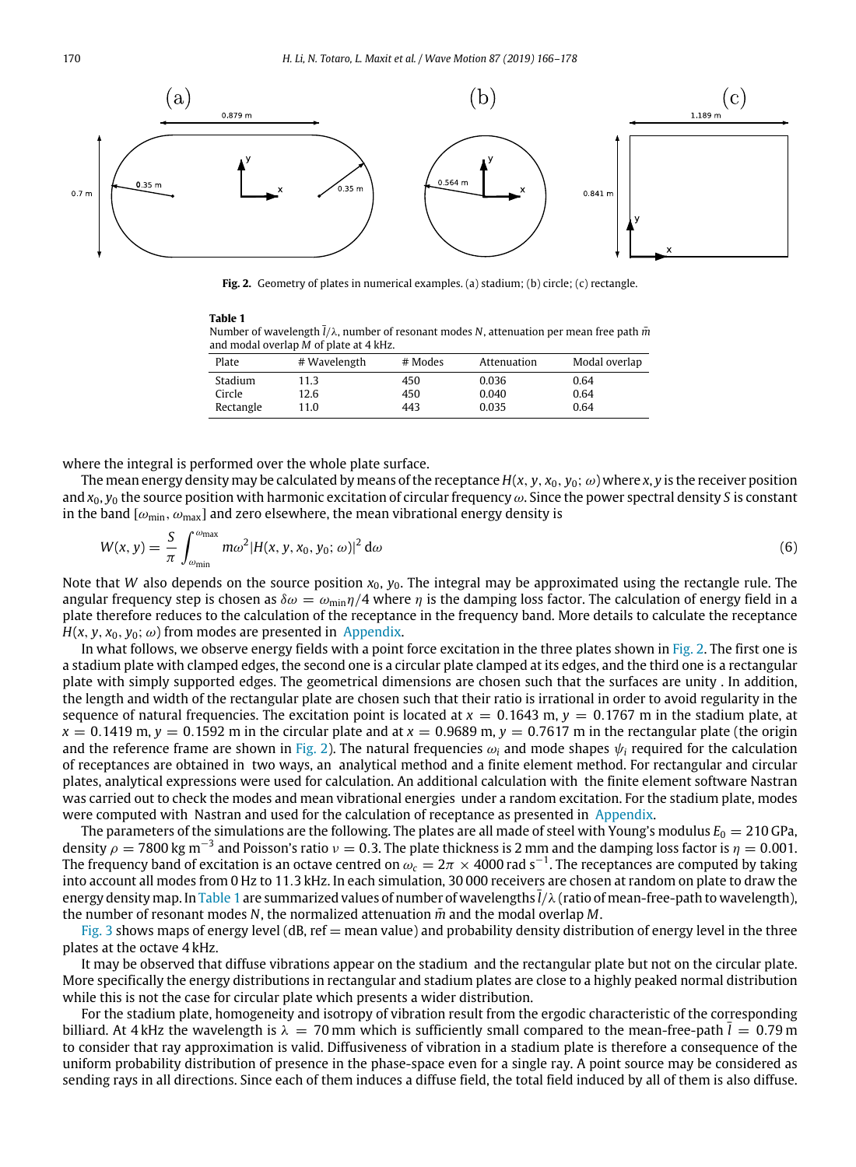

**Fig. 2.** Geometry of plates in numerical examples. (a) stadium; (b) circle; (c) rectangle.

<span id="page-4-0"></span>

| ш<br> |  |
|-------|--|
|-------|--|

Number of wavelength ¯*l*/λ, number of resonant modes *<sup>N</sup>*, attenuation per mean free path *<sup>m</sup>*¯ and modal overlap *M* of plate at 4 kHz.

| Plate     | # Wavelength | # Modes | Attenuation | Modal overlap |
|-----------|--------------|---------|-------------|---------------|
| Stadium   | 11.3         | 450     | 0.036       | 0.64          |
| Circle    | 12.6         | 450     | 0.040       | 0.64          |
| Rectangle | 11.0         | 443     | 0.035       | 0.64          |

<span id="page-4-1"></span>where the integral is performed over the whole plate surface.

The mean energy density may be calculated by means of the receptance  $H(x, y, x_0, y_0; \omega)$  where *x*, *y* is the receiver position and *x*0, *y*<sup>0</sup> the source position with harmonic excitation of circular frequency ω. Since the power spectral density *S* is constant in the band  $[\omega_{min}, \omega_{max}]$  and zero elsewhere, the mean vibrational energy density is

$$
W(x, y) = \frac{S}{\pi} \int_{\omega_{\text{min}}}^{\omega_{\text{max}}} m\omega^2 |H(x, y, x_0, y_0; \omega)|^2 d\omega
$$
\n(6)

Note that *W* also depends on the source position *x*0, *y*0. The integral may be approximated using the rectangle rule. The angular frequency step is chosen as  $\delta\omega = \omega_{\rm min}\eta/4$  where  $\eta$  is the damping loss factor. The calculation of energy field in a plate therefore reduces to the calculation of the receptance in the frequency band. More details to calculate the receptance  $H(x, y, x_0, y_0; \omega)$  from modes are presented in [Appendix](#page-10-0).

In what follows, we observe energy fields with a point force excitation in the three plates shown in [Fig.](#page-4-0) [2.](#page-4-0) The first one is a stadium plate with clamped edges, the second one is a circular plate clamped at its edges, and the third one is a rectangular plate with simply supported edges. The geometrical dimensions are chosen such that the surfaces are unity . In addition, the length and width of the rectangular plate are chosen such that their ratio is irrational in order to avoid regularity in the sequence of natural frequencies. The excitation point is located at  $x = 0.1643$  m,  $y = 0.1767$  m in the stadium plate, at  $x = 0.1419$  m,  $y = 0.1592$  m in the circular plate and at  $x = 0.9689$  m,  $y = 0.7617$  m in the rectangular plate (the origin and the reference frame are shown in [Fig.](#page-4-0) [2\)](#page-4-0). The natural frequencies  $\omega_i$  and mode shapes  $\psi_i$  required for the calculation of receptances are obtained in two ways, an analytical method and a finite element method. For rectangular and circular plates, analytical expressions were used for calculation. An additional calculation with the finite element software Nastran was carried out to check the modes and mean vibrational energies under a random excitation. For the stadium plate, modes were computed with Nastran and used for the calculation of receptance as presented in [Appendix.](#page-10-0)

The parameters of the simulations are the following. The plates are all made of steel with Young's modulus  $E_0 = 210$  GPa, density  $\rho=7800$  kg m $^{-3}$  and Poisson's ratio  $v=0.3$ . The plate thickness is 2 mm and the damping loss factor is  $\eta=0.001$ . The frequency band of excitation is an octave centred on ω*<sup>c</sup>* = <sup>2</sup>π × 4000 rad s−<sup>1</sup> . The receptances are computed by taking into account all modes from 0 Hz to 11.3 kHz. In each simulation, 30 000 receivers are chosen at random on plate to draw the energy density map. In [Table](#page-4-1) [1](#page-4-1) are summarized values of number of wavelengths  $l/\lambda$  (ratio of mean-free-path to wavelength), the number of resonant modes  $N$ , the normalized attenuation  $\bar{m}$  and the modal overlap  $M$ .

[Fig.](#page-5-0) [3](#page-5-0) shows maps of energy level (dB, ref  $=$  mean value) and probability density distribution of energy level in the three plates at the octave 4 kHz.

It may be observed that diffuse vibrations appear on the stadium and the rectangular plate but not on the circular plate. More specifically the energy distributions in rectangular and stadium plates are close to a highly peaked normal distribution while this is not the case for circular plate which presents a wider distribution.

For the stadium plate, homogeneity and isotropy of vibration result from the ergodic characteristic of the corresponding billiard. At 4 kHz the wavelength is  $\lambda = 70$  mm which is sufficiently small compared to the mean-free-path  $l = 0.79$  m to consider that ray approximation is valid. Diffusiveness of vibration in a stadium plate is therefore a consequence of the uniform probability distribution of presence in the phase-space even for a single ray. A point source may be considered as sending rays in all directions. Since each of them induces a diffuse field, the total field induced by all of them is also diffuse.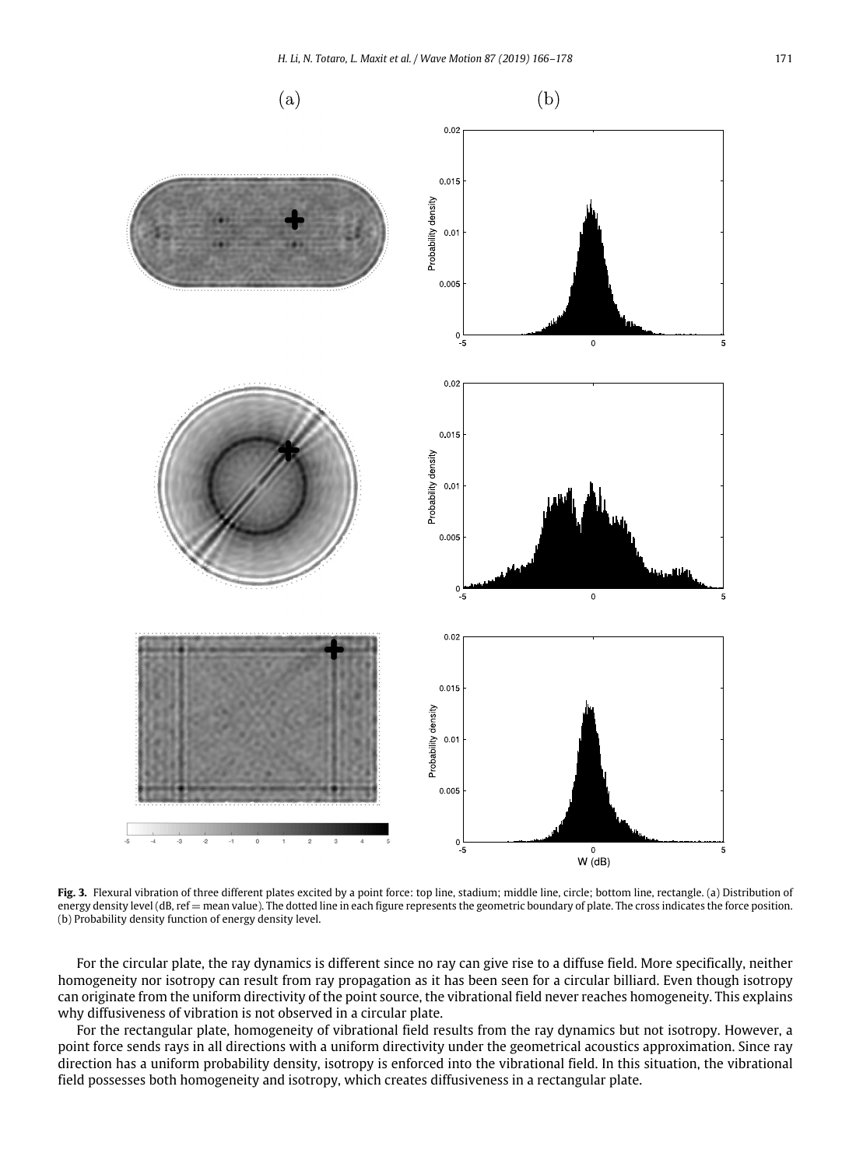

<span id="page-5-0"></span>Fig. 3. Flexural vibration of three different plates excited by a point force: top line, stadium; middle line, circle; bottom line, rectangle. (a) Distribution of energy density level (dB, ref = mean value). The dotted line in each figure represents the geometric boundary of plate. The cross indicates the force position. (b) Probability density function of energy density level.

For the circular plate, the ray dynamics is different since no ray can give rise to a diffuse field. More specifically, neither homogeneity nor isotropy can result from ray propagation as it has been seen for a circular billiard. Even though isotropy can originate from the uniform directivity of the point source, the vibrational field never reaches homogeneity. This explains why diffusiveness of vibration is not observed in a circular plate.

For the rectangular plate, homogeneity of vibrational field results from the ray dynamics but not isotropy. However, a point force sends rays in all directions with a uniform directivity under the geometrical acoustics approximation. Since ray direction has a uniform probability density, isotropy is enforced into the vibrational field. In this situation, the vibrational field possesses both homogeneity and isotropy, which creates diffusiveness in a rectangular plate.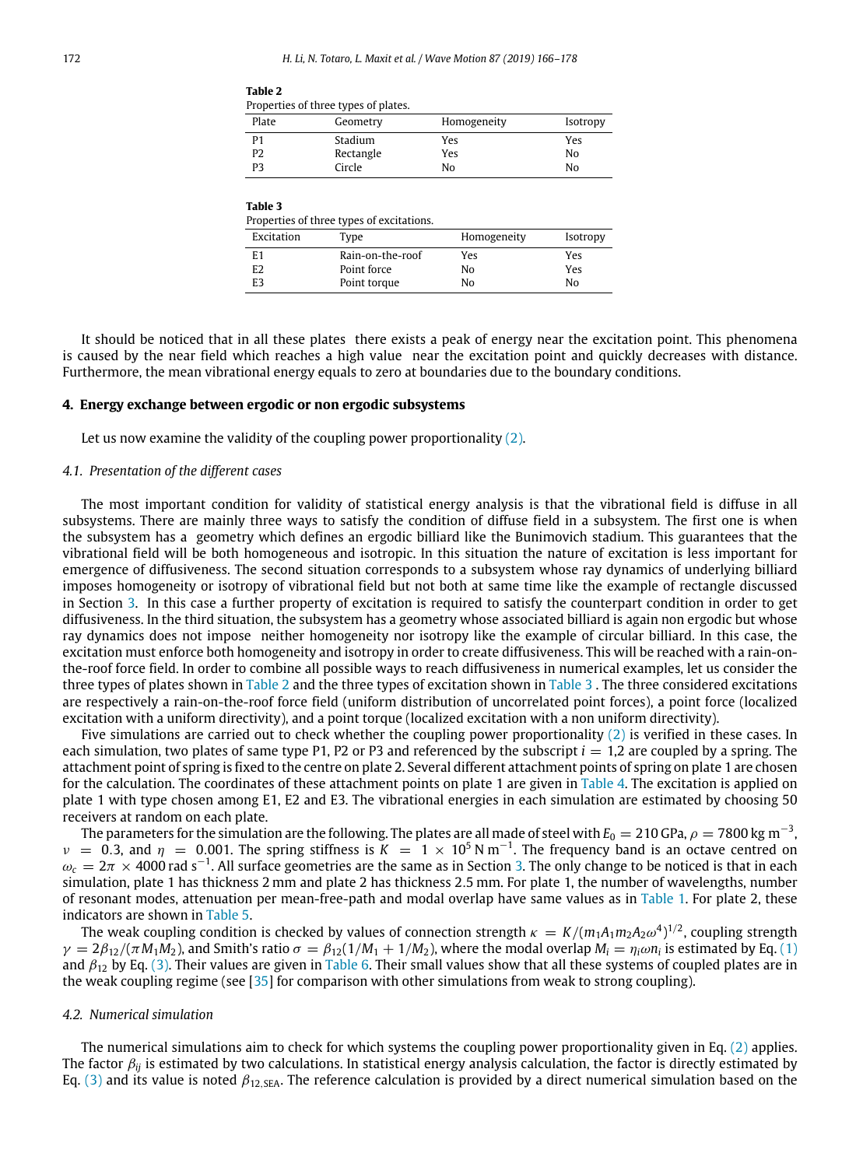<span id="page-6-1"></span>

| Properties of three types of plates. |           |             |          |
|--------------------------------------|-----------|-------------|----------|
| Plate                                | Geometry  | Homogeneity | Isotropy |
| P1                                   | Stadium   | Yes         | Yes      |
| P2                                   | Rectangle | Yes         | No       |
| PЗ                                   | Circle    | Nο          | No       |

| Table 3<br>Properties of three types of excitations. |                  |             |          |  |
|------------------------------------------------------|------------------|-------------|----------|--|
| Excitation                                           | Type             | Homogeneity | Isotropy |  |
| E1                                                   | Rain-on-the-roof | Yes         | Yes      |  |
| E <sub>2</sub>                                       | Point force      | No          | Yes      |  |
| F٩                                                   | Point torque     | Nο          | No       |  |

<span id="page-6-2"></span>It should be noticed that in all these plates there exists a peak of energy near the excitation point. This phenomena is caused by the near field which reaches a high value near the excitation point and quickly decreases with distance. Furthermore, the mean vibrational energy equals to zero at boundaries due to the boundary conditions.

#### **4. Energy exchange between ergodic or non ergodic subsystems**

**Table 2**

<span id="page-6-0"></span>Let us now examine the validity of the coupling power proportionality ([2\)](#page-1-1).

## *4.1. Presentation of the different cases*

The most important condition for validity of statistical energy analysis is that the vibrational field is diffuse in all subsystems. There are mainly three ways to satisfy the condition of diffuse field in a subsystem. The first one is when the subsystem has a geometry which defines an ergodic billiard like the Bunimovich stadium. This guarantees that the vibrational field will be both homogeneous and isotropic. In this situation the nature of excitation is less important for emergence of diffusiveness. The second situation corresponds to a subsystem whose ray dynamics of underlying billiard imposes homogeneity or isotropy of vibrational field but not both at same time like the example of rectangle discussed in Section [3.](#page-2-0) In this case a further property of excitation is required to satisfy the counterpart condition in order to get diffusiveness. In the third situation, the subsystem has a geometry whose associated billiard is again non ergodic but whose ray dynamics does not impose neither homogeneity nor isotropy like the example of circular billiard. In this case, the excitation must enforce both homogeneity and isotropy in order to create diffusiveness. This will be reached with a rain-onthe-roof force field. In order to combine all possible ways to reach diffusiveness in numerical examples, let us consider the three types of plates shown in [Table](#page-6-1) [2](#page-6-1) and the three types of excitation shown in [Table](#page-6-2) [3](#page-6-2) . The three considered excitations are respectively a rain-on-the-roof force field (uniform distribution of uncorrelated point forces), a point force (localized excitation with a uniform directivity), and a point torque (localized excitation with a non uniform directivity).

Five simulations are carried out to check whether the coupling power proportionality [\(2\)](#page-1-1) is verified in these cases. In each simulation, two plates of same type P1, P2 or P3 and referenced by the subscript  $i = 1,2$  are coupled by a spring. The attachment point of spring is fixed to the centre on plate 2. Several different attachment points of spring on plate 1 are chosen for the calculation. The coordinates of these attachment points on plate 1 are given in [Table](#page-7-0) [4.](#page-7-0) The excitation is applied on plate 1 with type chosen among E1, E2 and E3. The vibrational energies in each simulation are estimated by choosing 50 receivers at random on each plate.

The parameters for the simulation are the following. The plates are all made of steel with  $E_0=210$  GPa,  $\rho=7800$  kg m $^{-3}$ ,  $\nu$  = 0.3, and  $\eta$  = 0.001. The spring stiffness is  $K = 1 \times 10^5$  N m<sup>-1</sup>. The frequency band is an octave centred on  $\omega_c=2\pi\times 4000$  rad s<sup>−1</sup>. All surface geometries are the same as in Section [3](#page-2-0). The only change to be noticed is that in each simulation, plate 1 has thickness 2 mm and plate 2 has thickness 2.5 mm. For plate 1, the number of wavelengths, number of resonant modes, attenuation per mean-free-path and modal overlap have same values as in [Table](#page-4-1) [1](#page-4-1). For plate 2, these indicators are shown in [Table](#page-7-1) [5.](#page-7-1)

The weak coupling condition is checked by values of connection strength  $\kappa~=~K/(m_1A_1m_2A_2\omega^4)^{1/2}$ , coupling strength  $\gamma = 2\beta_{12}/(\pi M_1M_2)$  $\gamma = 2\beta_{12}/(\pi M_1M_2)$  $\gamma = 2\beta_{12}/(\pi M_1M_2)$ , and Smith's ratio  $\sigma = \beta_{12}(1/M_1+1/M_2)$ , where the modal overlap  $M_i = \eta_i\omega n_i$  is estimated by Eq. (1) and  $\beta_{12}$  by Eq. [\(3](#page-1-3)). Their values are given in [Table](#page-7-2) [6.](#page-7-2) Their small values show that all these systems of coupled plates are in the weak coupling regime (see [\[35](#page-12-27)] for comparison with other simulations from weak to strong coupling).

#### *4.2. Numerical simulation*

The numerical simulations aim to check for which systems the coupling power proportionality given in Eq. ([2\)](#page-1-1) applies. The factor  $\beta_{ij}$  is estimated by two calculations. In statistical energy analysis calculation, the factor is directly estimated by Eq. [\(3\)](#page-1-3) and its value is noted  $\beta_{12,SEA}$ . The reference calculation is provided by a direct numerical simulation based on the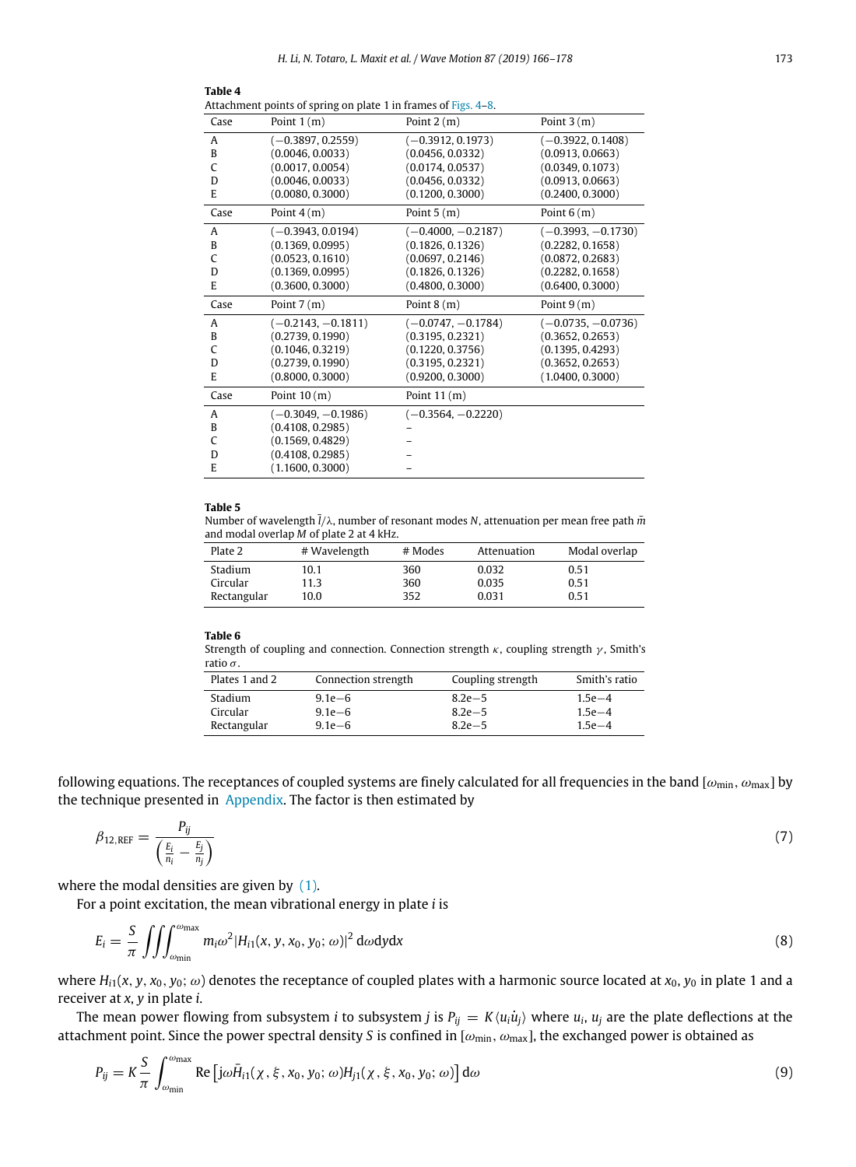| Attachment points of spring on plate 1 in frames of Figs. 4–8. |                      |                                              |  |  |
|----------------------------------------------------------------|----------------------|----------------------------------------------|--|--|
| Point $1(m)$                                                   | Point $2(m)$         | Point $3(m)$                                 |  |  |
| $(-0.3897, 0.2559)$                                            | $(-0.3912, 0.1973)$  | $(-0.3922, 0.1408)$                          |  |  |
| (0.0046, 0.0033)                                               | (0.0456, 0.0332)     | (0.0913, 0.0663)                             |  |  |
| (0.0017, 0.0054)                                               | (0.0174, 0.0537)     | (0.0349, 0.1073)                             |  |  |
| (0.0046, 0.0033)                                               | (0.0456, 0.0332)     | (0.0913, 0.0663)                             |  |  |
| (0.0080, 0.3000)                                               | (0.1200, 0.3000)     | (0.2400, 0.3000)                             |  |  |
| Point $4(m)$                                                   | Point $5(m)$         | Point $6(m)$                                 |  |  |
| $(-0.3943, 0.0194)$                                            | $(-0.4000, -0.2187)$ | $(-0.3993, -0.1730)$                         |  |  |
| (0.1369, 0.0995)                                               | (0.1826, 0.1326)     | (0.2282, 0.1658)                             |  |  |
| (0.0523, 0.1610)                                               | (0.0697, 0.2146)     | (0.0872, 0.2683)                             |  |  |
| (0.1369, 0.0995)                                               | (0.1826, 0.1326)     | (0.2282, 0.1658)                             |  |  |
| (0.3600, 0.3000)                                               | (0.4800, 0.3000)     | (0.6400, 0.3000)                             |  |  |
| Point $7(m)$                                                   | Point $8(m)$         | Point $9(m)$                                 |  |  |
|                                                                |                      | $(-0.0735, -0.0736)$                         |  |  |
|                                                                |                      |                                              |  |  |
| (0.2739, 0.1990)                                               | (0.3195, 0.2321)     | (0.3652, 0.2653)                             |  |  |
| (0.1046, 0.3219)                                               | (0.1220, 0.3756)     | (0.1395, 0.4293)                             |  |  |
| (0.2739, 0.1990)                                               | (0.3195, 0.2321)     | (0.3652, 0.2653)                             |  |  |
| (0.8000, 0.3000)                                               | (0.9200, 0.3000)     | (1.0400, 0.3000)                             |  |  |
| Point $10(m)$                                                  | Point $11(m)$        |                                              |  |  |
| $(-0.3049, -0.1986)$                                           | $(-0.3564, -0.2220)$ |                                              |  |  |
| (0.4108, 0.2985)                                               |                      |                                              |  |  |
| (0.1569, 0.4829)                                               |                      |                                              |  |  |
| (0.4108, 0.2985)<br>(1.1600, 0.3000)                           |                      |                                              |  |  |
|                                                                |                      | $(-0.2143, -0.1811)$<br>$(-0.0747, -0.1784)$ |  |  |

#### **Table 5**

<span id="page-7-0"></span>**Table 4**

<span id="page-7-1"></span>Number of wavelength ¯*l*/λ, number of resonant modes *<sup>N</sup>*, attenuation per mean free path *<sup>m</sup>*¯ and modal overlap *M* of plate 2 at 4 kHz.

| Plate 2     | # Wavelength | # Modes | Attenuation | Modal overlap |
|-------------|--------------|---------|-------------|---------------|
| Stadium     | 10.1         | 360     | 0.032       | 0.51          |
| Circular    | 11.3         | 360     | 0.035       | 0.51          |
| Rectangular | 10.0         | 352     | 0.031       | 0.51          |

## **Table 6**

Strength of coupling and connection. Connection strength  $\kappa$ , coupling strength  $\gamma$ , Smith's ratio  $\sigma$ .

<span id="page-7-3"></span>

| Plates 1 and 2 | Connection strength | Coupling strength | Smith's ratio |
|----------------|---------------------|-------------------|---------------|
| Stadium        | $9.1e - 6$          | $8.2e - 5$        | $1.5e - 4$    |
| Circular       | $9.1e - 6$          | $8.2e - 5$        | $1.5e - 4$    |
| Rectangular    | $9.1e - 6$          | $8.2e - 5$        | $1.5e - 4$    |

<span id="page-7-2"></span>following equations. The receptances of coupled systems are finely calculated for all frequencies in the band  $[\omega_{min}, \omega_{max}]$  by the technique presented in [Appendix](#page-10-0). The factor is then estimated by

$$
\beta_{12,\text{REF}} = \frac{P_{ij}}{\left(\frac{E_i}{n_i} - \frac{E_j}{n_j}\right)}\tag{7}
$$

where the modal densities are given by ([1\)](#page-1-2).

For a point excitation, the mean vibrational energy in plate *i* is

$$
E_i = \frac{S}{\pi} \iiint_{\omega_{\text{min}}}^{\omega_{\text{max}}} m_i \omega^2 |H_{i1}(x, y, x_0, y_0; \omega)|^2 d\omega dy dx
$$
\n(8)

where  $H_i(x, y, x_0, y_0; \omega)$  denotes the receptance of coupled plates with a harmonic source located at  $x_0, y_0$  in plate 1 and a receiver at *x*, *y* in plate *i*.

The mean power flowing from subsystem *i* to subsystem *j* is  $P_{ij} = K \langle u_i \dot{u}_j \rangle$  where  $u_i$ ,  $u_j$  are the plate deflections at the attachment point. Since the power spectral density *S* is confined in  $[\omega_{min}, \omega_{max}]$ , the exchanged power is obtained as

$$
P_{ij} = K \frac{S}{\pi} \int_{\omega_{\min}}^{\omega_{\max}} \text{Re} \left[ j\omega \bar{H}_{i1}(\chi, \xi, x_0, y_0; \omega) H_{j1}(\chi, \xi, x_0, y_0; \omega) \right] d\omega \tag{9}
$$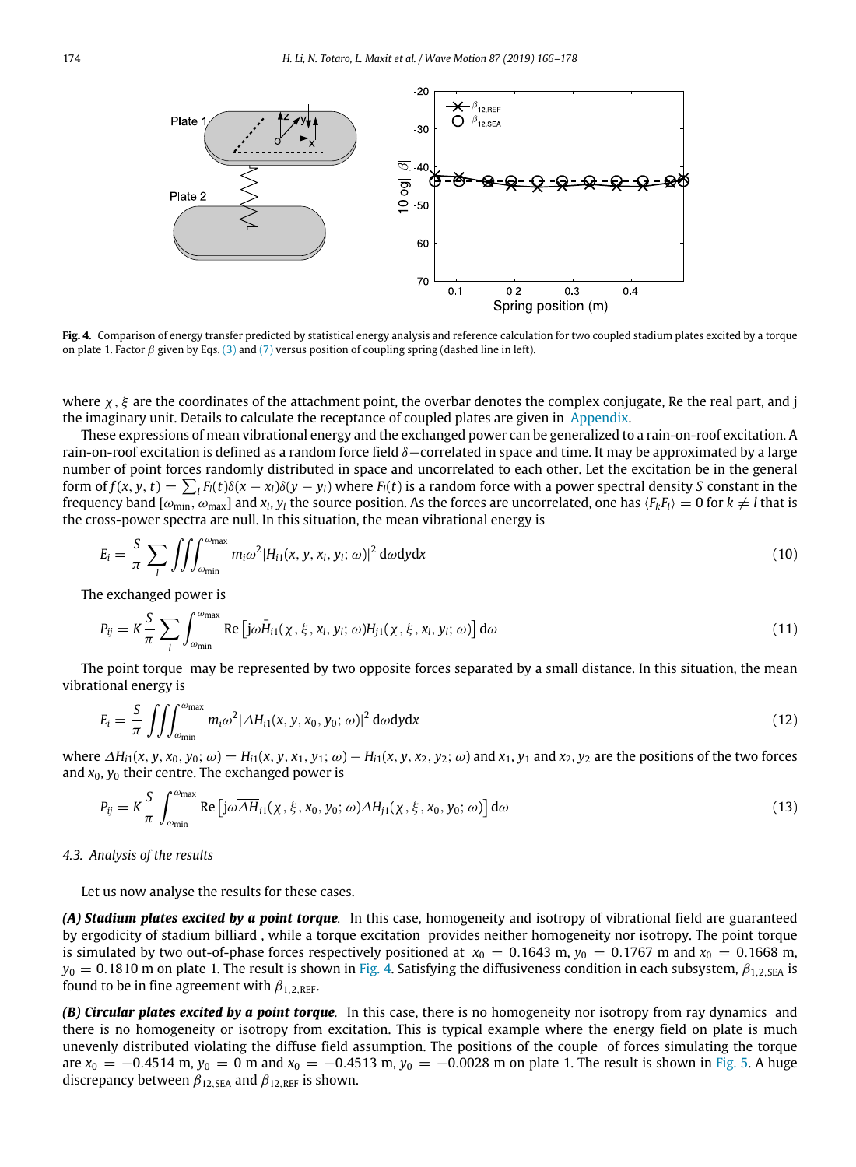

<span id="page-8-0"></span>**Fig. 4.** Comparison of energy transfer predicted by statistical energy analysis and reference calculation for two coupled stadium plates excited by a torque on plate 1. Factor  $\beta$  given by Eqs. [\(3\)](#page-1-3) and ([7](#page-7-3)) versus position of coupling spring (dashed line in left).

where  $\chi$ ,  $\xi$  are the coordinates of the attachment point, the overbar denotes the complex conjugate, Re the real part, and j the imaginary unit. Details to calculate the receptance of coupled plates are given in [Appendix.](#page-10-0)

These expressions of mean vibrational energy and the exchanged power can be generalized to a rain-on-roof excitation. A rain-on-roof excitation is defined as a random force field δ–correlated in space and time. It may be approximated by a large number of point forces randomly distributed in space and uncorrelated to each other. Let the excitation be in the general form of  $f(x, y, t) = \sum_l F_l(t)\delta(x - x_l)\delta(y - y_l)$  where  $F_l(t)$  is a random force with a power spectral density S constant in the frequency band [ $\omega_{\min},\omega_{\max}$ ] and  $x_l,y_l$  the source position. As the forces are uncorrelated, one has  $\langle F_kF_l\rangle=0$  for  $k\neq l$  that is the cross-power spectra are null. In this situation, the mean vibrational energy is

$$
E_i = \frac{S}{\pi} \sum_{l} \iiint_{\omega_{\min}}^{\omega_{\max}} m_i \omega^2 |H_{i1}(x, y, x_l, y_l; \omega)|^2 d\omega dy dx
$$
\n(10)

The exchanged power is

$$
P_{ij} = K \frac{S}{\pi} \sum_{l} \int_{\omega_{\min}}^{\omega_{\max}} \text{Re} \left[ j \omega \bar{H}_{i1}(\chi, \xi, x_l, y_l; \omega) H_{j1}(\chi, \xi, x_l, y_l; \omega) \right] d\omega \tag{11}
$$

The point torque may be represented by two opposite forces separated by a small distance. In this situation, the mean vibrational energy is

$$
E_i = \frac{S}{\pi} \iiint_{\omega_{\text{min}}}^{\omega_{\text{max}}} m_i \omega^2 |\Delta H_{i1}(x, y, x_0, y_0; \omega)|^2 d\omega dy dx
$$
\n(12)

where  $\Delta H_{i1}(x, y, x_0, y_0; \omega) = H_{i1}(x, y, x_1, y_1; \omega) - H_{i1}(x, y, x_2, y_2; \omega)$  and  $x_1, y_1$  and  $x_2, y_2$  are the positions of the two forces and  $x_0$ ,  $y_0$  their centre. The exchanged power is

$$
P_{ij} = K \frac{S}{\pi} \int_{\omega_{\text{min}}}^{\omega_{\text{max}}} \text{Re} \left[ j \omega \overline{\Delta H}_{i1}(\chi, \xi, x_0, y_0; \omega) \Delta H_{j1}(\chi, \xi, x_0, y_0; \omega) \right] d\omega \tag{13}
$$

#### *4.3. Analysis of the results*

Let us now analyse the results for these cases.

*(A) Stadium plates excited by a point torque.* In this case, homogeneity and isotropy of vibrational field are guaranteed by ergodicity of stadium billiard , while a torque excitation provides neither homogeneity nor isotropy. The point torque is simulated by two out-of-phase forces respectively positioned at  $x_0 = 0.1643$  m,  $y_0 = 0.1767$  m and  $x_0 = 0.1668$  m,  $y_0 = 0.1810$  m on plate 1. The result is shown in [Fig.](#page-8-0) [4.](#page-8-0) Satisfying the diffusiveness condition in each subsystem,  $\beta_{1.2,SEA}$  is found to be in fine agreement with  $\beta_{1,2,\text{REF}}$ .

*(B) Circular plates excited by a point torque.* In this case, there is no homogeneity nor isotropy from ray dynamics and there is no homogeneity or isotropy from excitation. This is typical example where the energy field on plate is much unevenly distributed violating the diffuse field assumption. The positions of the couple of forces simulating the torque are *x*<sub>0</sub> = −0.4[5](#page-9-0)14 m, *y*<sub>0</sub> = 0 m and *x*<sub>0</sub> = −0.4513 m, *y*<sub>0</sub> = −0.0028 m on plate 1. The result is shown in [Fig.](#page-9-0) 5. A huge discrepancy between  $\beta_{12,SEA}$  and  $\beta_{12,REF}$  is shown.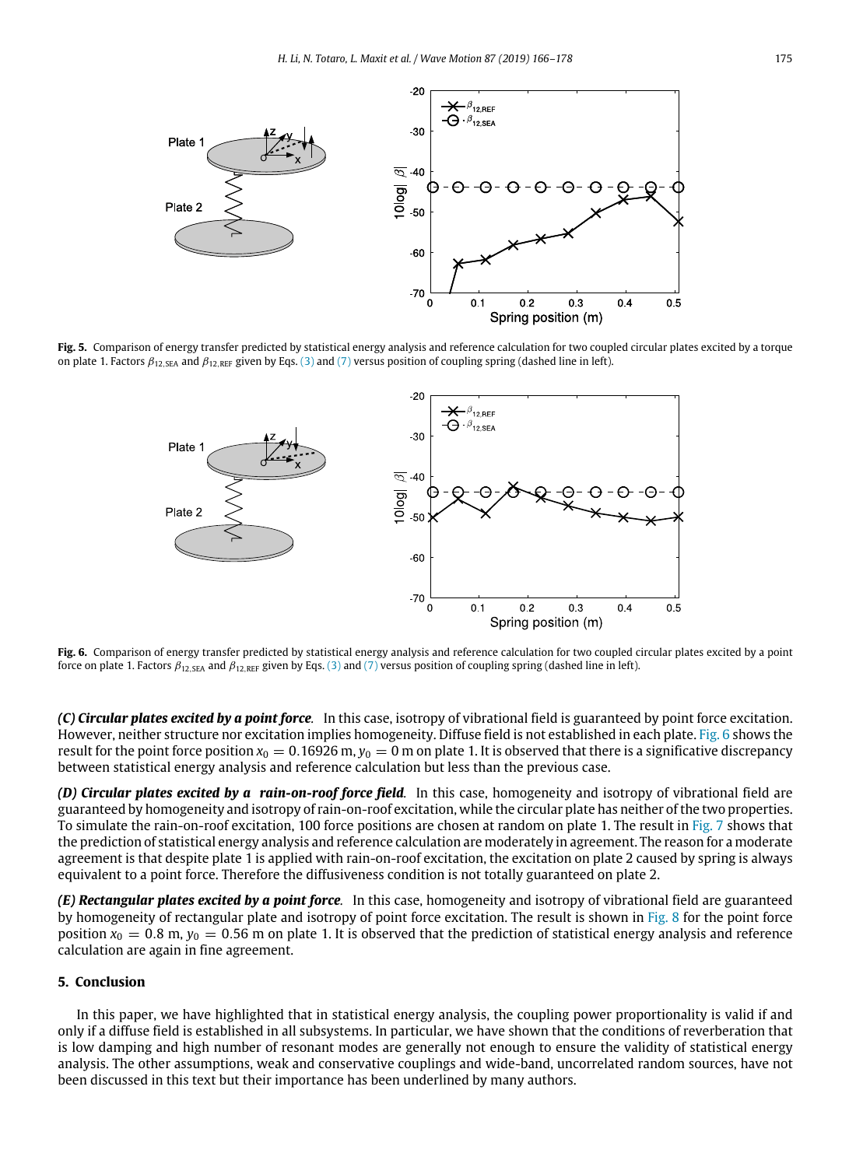

<span id="page-9-0"></span>**Fig. 5.** Comparison of energy transfer predicted by statistical energy analysis and reference calculation for two coupled circular plates excited by a torque on plate 1. Factors  $\beta_{12,SEA}$  and  $\beta_{12,REF}$  given by Eqs. ([3](#page-1-3)) and [\(7\)](#page-7-3) versus position of coupling spring (dashed line in left).



<span id="page-9-1"></span>Fig. 6. Comparison of energy transfer predicted by statistical energy analysis and reference calculation for two coupled circular plates excited by a point force on plate 1. Factors  $\beta_{12,SEA}$  and  $\beta_{12,REF}$  given by Eqs. ([3](#page-1-3)) and [\(7\)](#page-7-3) versus position of coupling spring (dashed line in left).

*(C) Circular plates excited by a point force.* In this case, isotropy of vibrational field is guaranteed by point force excitation. However, neither structure nor excitation implies homogeneity. Diffuse field is not established in each plate. [Fig.](#page-9-1) [6](#page-9-1) shows the result for the point force position  $x_0 = 0.16926$  m,  $y_0 = 0$  m on plate 1. It is observed that there is a significative discrepancy between statistical energy analysis and reference calculation but less than the previous case.

*(D) Circular plates excited by a rain-on-roof force field.* In this case, homogeneity and isotropy of vibrational field are guaranteed by homogeneity and isotropy of rain-on-roof excitation, while the circular plate has neither of the two properties. To simulate the rain-on-roof excitation, 100 force positions are chosen at random on plate 1. The result in [Fig.](#page-10-2) [7](#page-10-2) shows that the prediction of statistical energy analysis and reference calculation are moderately in agreement. The reason for a moderate agreement is that despite plate 1 is applied with rain-on-roof excitation, the excitation on plate 2 caused by spring is always equivalent to a point force. Therefore the diffusiveness condition is not totally guaranteed on plate 2.

*(E) Rectangular plates excited by a point force.* In this case, homogeneity and isotropy of vibrational field are guaranteed by homogeneity of rectangular plate and isotropy of point force excitation. The result is shown in [Fig.](#page-10-1) [8](#page-10-1) for the point force position  $x_0 = 0.8$  m,  $y_0 = 0.56$  m on plate 1. It is observed that the prediction of statistical energy analysis and reference calculation are again in fine agreement.

#### **5. Conclusion**

In this paper, we have highlighted that in statistical energy analysis, the coupling power proportionality is valid if and only if a diffuse field is established in all subsystems. In particular, we have shown that the conditions of reverberation that is low damping and high number of resonant modes are generally not enough to ensure the validity of statistical energy analysis. The other assumptions, weak and conservative couplings and wide-band, uncorrelated random sources, have not been discussed in this text but their importance has been underlined by many authors.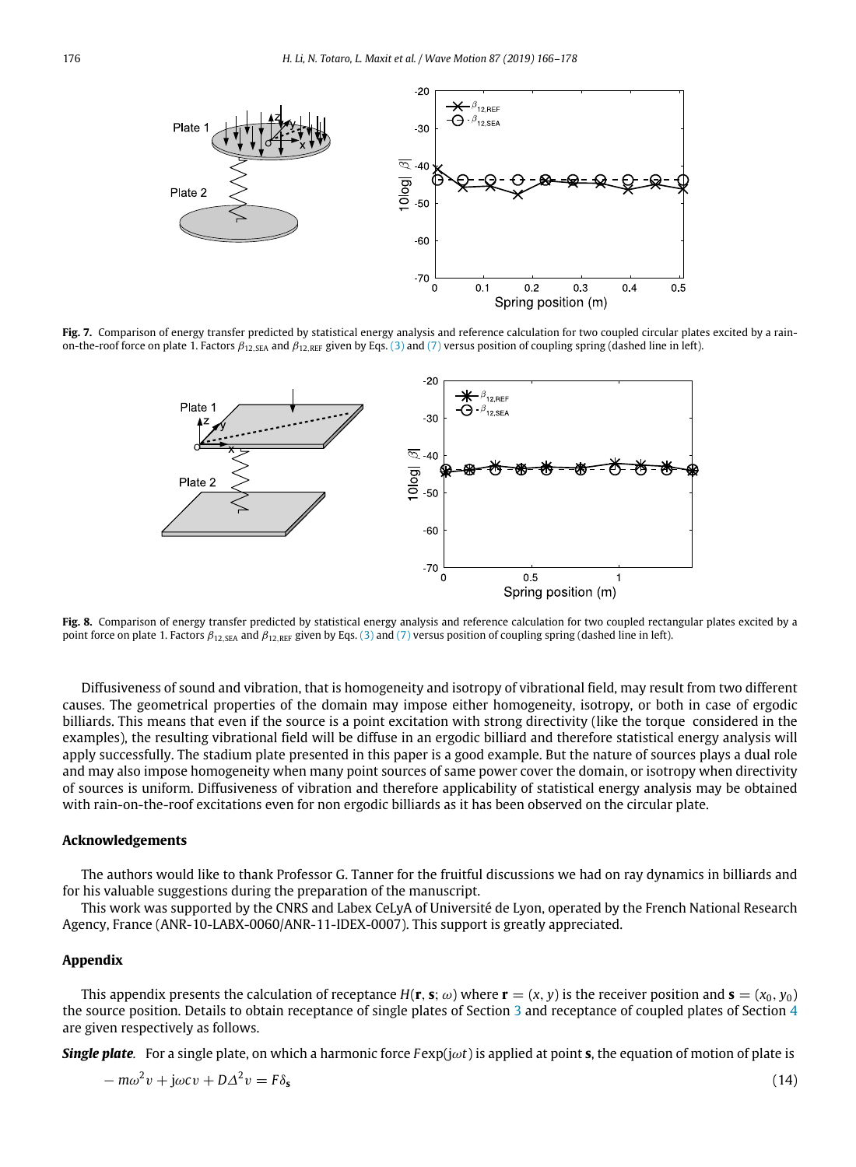

<span id="page-10-2"></span>Fig. 7. Comparison of energy transfer predicted by statistical energy analysis and reference calculation for two coupled circular plates excited by a rainon-the-roof force on plate 1. Factors  $\beta_{12}$  SEA and  $\beta_{12}$  REF given by Eqs. ([3\)](#page-1-3) and [\(7](#page-7-3)) versus position of coupling spring (dashed line in left).



<span id="page-10-1"></span>**Fig. 8.** Comparison of energy transfer predicted by statistical energy analysis and reference calculation for two coupled rectangular plates excited by a point force on plate 1. Factors  $\beta_{12,SE}$  and  $\beta_{12,REF}$  given by Eqs. ([3](#page-1-3)) and ([7\)](#page-7-3) versus position of coupling spring (dashed line in left).

Diffusiveness of sound and vibration, that is homogeneity and isotropy of vibrational field, may result from two different causes. The geometrical properties of the domain may impose either homogeneity, isotropy, or both in case of ergodic billiards. This means that even if the source is a point excitation with strong directivity (like the torque considered in the examples), the resulting vibrational field will be diffuse in an ergodic billiard and therefore statistical energy analysis will apply successfully. The stadium plate presented in this paper is a good example. But the nature of sources plays a dual role and may also impose homogeneity when many point sources of same power cover the domain, or isotropy when directivity of sources is uniform. Diffusiveness of vibration and therefore applicability of statistical energy analysis may be obtained with rain-on-the-roof excitations even for non ergodic billiards as it has been observed on the circular plate.

## **Acknowledgements**

The authors would like to thank Professor G. Tanner for the fruitful discussions we had on ray dynamics in billiards and for his valuable suggestions during the preparation of the manuscript.

This work was supported by the CNRS and Labex CeLyA of Université de Lyon, operated by the French National Research Agency, France (ANR-10-LABX-0060/ANR-11-IDEX-0007). This support is greatly appreciated.

### **Appendix**

<span id="page-10-0"></span>This appendix presents the calculation of receptance  $H(\mathbf{r}, \mathbf{s}; \omega)$  where  $\mathbf{r} = (x, y)$  is the receiver position and  $\mathbf{s} = (x_0, y_0)$ the source position. Details to obtain receptance of single plates of Section [3](#page-2-0) and receptance of coupled plates of Section [4](#page-6-0) are given respectively as follows.

**Single plate**. For a single plate, on which a harmonic force  $F$ exp( $j\omega t$ ) is applied at point **s**, the equation of motion of plate is

<span id="page-10-3"></span>
$$
-m\omega^2 v + j\omega c v + D\Delta^2 v = F\delta_{\mathbf{s}}\tag{14}
$$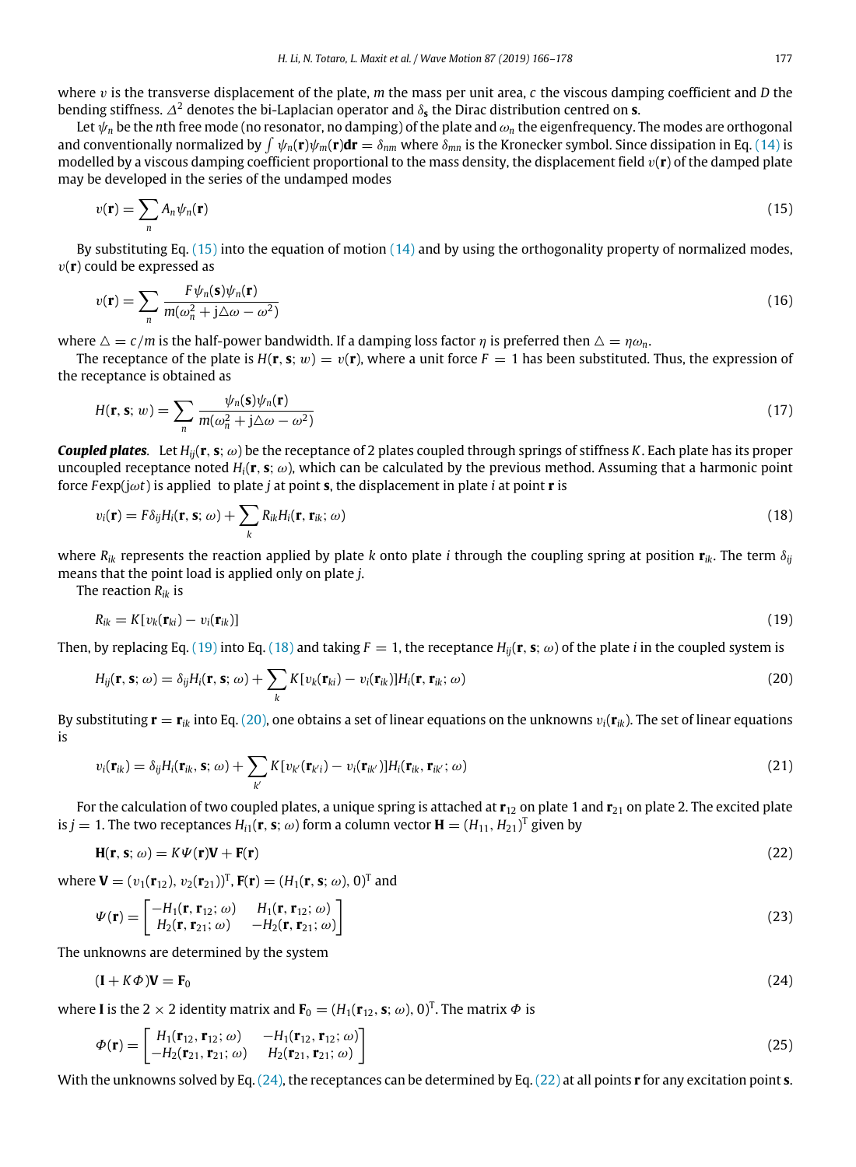where v is the transverse displacement of the plate, *m* the mass per unit area, *c* the viscous damping coefficient and *D* the bending stiffness. ∆<sup>2</sup> denotes the bi-Laplacian operator and δ**<sup>s</sup>** the Dirac distribution centred on **s**.

Let  $\psi_n$  be the *n*th free mode (no resonator, no damping) of the plate and  $\omega_n$  the eigenfrequency. The modes are orthogonal and conventionally normalized by ∫ ψ*n*(**r**)ψ*m*(**r**)**dr** = δ*nm* where δ*mn* is the Kronecker symbol. Since dissipation in Eq. ([14](#page-10-3)) is modelled by a viscous damping coefficient proportional to the mass density, the displacement field  $v(\mathbf{r})$  of the damped plate may be developed in the series of the undamped modes

<span id="page-11-0"></span>
$$
v(\mathbf{r}) = \sum_{n} A_n \psi_n(\mathbf{r})
$$
\n(15)

By substituting Eq. ([15](#page-11-0)) into the equation of motion [\(14\)](#page-10-3) and by using the orthogonality property of normalized modes,  $v(\mathbf{r})$  could be expressed as

$$
v(\mathbf{r}) = \sum_{n} \frac{F\psi_n(\mathbf{s})\psi_n(\mathbf{r})}{m(\omega_n^2 + \mathbf{j}\Delta\omega - \omega^2)}
$$
(16)

where  $\Delta = c/m$  is the half-power bandwidth. If a damping loss factor  $\eta$  is preferred then  $\Delta = \eta \omega_n$ .

The receptance of the plate is  $H(\mathbf{r}, \mathbf{s}; w) = v(\mathbf{r})$ , where a unit force  $F = 1$  has been substituted. Thus, the expression of the receptance is obtained as

$$
H(\mathbf{r}, \mathbf{s}; w) = \sum_{n} \frac{\psi_n(\mathbf{s})\psi_n(\mathbf{r})}{m(\omega_n^2 + j\Delta\omega - \omega^2)}
$$
(17)

**Coupled plates.** Let  $H_i(\mathbf{r}, \mathbf{s}; \omega)$  be the receptance of 2 plates coupled through springs of stiffness *K*. Each plate has its proper uncoupled receptance noted  $H_i(\mathbf{r}, \mathbf{s}; \omega)$ , which can be calculated by the previous method. Assuming that a harmonic point force *F*exp(jω*t*) is applied to plate *j* at point **s**, the displacement in plate *i* at point **r** is

<span id="page-11-2"></span>
$$
v_i(\mathbf{r}) = F\delta_{ij}H_i(\mathbf{r}, \mathbf{s}; \omega) + \sum_k R_{ik}H_i(\mathbf{r}, \mathbf{r}_{ik}; \omega)
$$
\n(18)

where  $R_{ik}$  represents the reaction applied by plate *k* onto plate *i* through the coupling spring at position  $\mathbf{r}_{ik}$ . The term  $\delta_{ii}$ means that the point load is applied only on plate *j*.

The reaction *Rik* is

<span id="page-11-1"></span>
$$
R_{ik} = K[v_k(\mathbf{r}_{ki}) - v_i(\mathbf{r}_{ik})]
$$
\n(19)

Then, by replacing Eq. [\(19](#page-11-1)) into Eq. [\(18\)](#page-11-2) and taking  $F = 1$ , the receptance  $H_{ii}(\mathbf{r}, \mathbf{s}; \omega)$  of the plate *i* in the coupled system is

<span id="page-11-3"></span>
$$
H_{ij}(\mathbf{r}, \mathbf{s}; \omega) = \delta_{ij} H_i(\mathbf{r}, \mathbf{s}; \omega) + \sum_{k} K[v_k(\mathbf{r}_{ki}) - v_i(\mathbf{r}_{ik})] H_i(\mathbf{r}, \mathbf{r}_{ik}; \omega)
$$
\n(20)

By substituting  $\mathbf{r} = \mathbf{r}_{i,k}$  into Eq. ([20](#page-11-3)), one obtains a set of linear equations on the unknowns  $v_i(\mathbf{r}_{i,k})$ . The set of linear equations is

$$
v_i(\mathbf{r}_{ik}) = \delta_{ij} H_i(\mathbf{r}_{ik}, \mathbf{s}; \omega) + \sum_{k'} K[v_{k'}(\mathbf{r}_{k'i}) - v_i(\mathbf{r}_{ik'})] H_i(\mathbf{r}_{ik}, \mathbf{r}_{ik'}; \omega)
$$
\n(21)

For the calculation of two coupled plates, a unique spring is attached at **r**<sub>12</sub> on plate 1 and **r**<sub>21</sub> on plate 2. The excited plate is  $j=1$ . The two receptances  $H_{i1}(\mathbf{r},\mathbf{s};\omega)$  form a column vector  $\mathbf{H}=(H_{11},H_{21})^{\text{T}}$  given by

<span id="page-11-5"></span>
$$
H(r, s; \omega) = K \Psi(r) V + F(r)
$$
\n(22)

 $\mathbf{W} = (v_1(\mathbf{r}_{12}), v_2(\mathbf{r}_{21}))^T$ ,  $\mathbf{F}(\mathbf{r}) = (H_1(\mathbf{r}, \mathbf{s}; \omega), 0)^T$  and

$$
\Psi(\mathbf{r}) = \begin{bmatrix} -H_1(\mathbf{r}, \mathbf{r}_{12}; \omega) & H_1(\mathbf{r}, \mathbf{r}_{12}; \omega) \\ H_2(\mathbf{r}, \mathbf{r}_{21}; \omega) & -H_2(\mathbf{r}, \mathbf{r}_{21}; \omega) \end{bmatrix}
$$
(23)

The unknowns are determined by the system

<span id="page-11-4"></span>
$$
(\mathbf{I} + K\Phi)\mathbf{V} = \mathbf{F}_0 \tag{24}
$$

where **I** is the 2  $\times$  2 identity matrix and  $\mathbf{F}_0 = (H_1(\mathbf{r}_{12}, \mathbf{s}; \omega), 0)^T$ . The matrix  $\boldsymbol{\Phi}$  is

$$
\Phi(\mathbf{r}) = \begin{bmatrix} H_1(\mathbf{r}_{12}, \mathbf{r}_{12}; \omega) & -H_1(\mathbf{r}_{12}, \mathbf{r}_{12}; \omega) \\ -H_2(\mathbf{r}_{21}, \mathbf{r}_{21}; \omega) & H_2(\mathbf{r}_{21}, \mathbf{r}_{21}; \omega) \end{bmatrix}
$$
\n(25)

With the unknowns solved by Eq. [\(24\)](#page-11-4), the receptances can be determined by Eq. ([22](#page-11-5)) at all points **r** for any excitation point **s**.